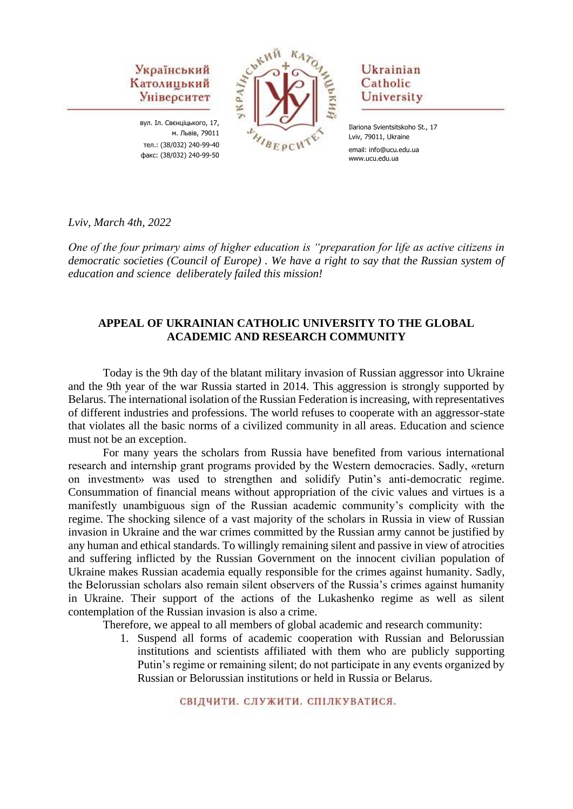вул. Іл. Свєнціцького, 17, м. Львів, 79011 тел.: (38/032) 240-99-40 факс: (38/032) 240-99-50



## Ukrainian Catholic University

Ilariona Svientsitskoho St., 17 Lviv, 79011, Ukraine email: info@ucu.edu.ua www.ucu.edu.ua

*Lviv, March 4th, 2022*

*One of the four primary aims of higher education is "preparation for life as active citizens in democratic societies (Council of Europe) . We have a right to say that the Russian system of education and science deliberately failed this mission!*

#### **APPEAL OF UKRAINIAN CATHOLIC UNIVERSITY TO THE GLOBAL ACADEMIC AND RESEARCH COMMUNITY**

Today is the 9th day of the blatant military invasion of Russian aggressor into Ukraine and the 9th year of the war Russia started in 2014. This aggression is strongly supported by Belarus. The international isolation of the Russian Federation is increasing, with representatives of different industries and professions. The world refuses to cooperate with an aggressor-state that violates all the basic norms of a civilized community in all areas. Education and science must not be an exception.

For many years the scholars from Russia have benefited from various international research and internship grant programs provided by the Western democracies. Sadly, «return on investment» was used to strengthen and solidify Putin's anti-democratic regime. Consummation of financial means without appropriation of the civic values and virtues is a manifestly unambiguous sign of the Russian academic community's complicity with the regime. The shocking silence of a vast majority of the scholars in Russia in view of Russian invasion in Ukraine and the war crimes committed by the Russian army cannot be justified by any human and ethical standards. To willingly remaining silent and passive in view of atrocities and suffering inflicted by the Russian Government on the innocent civilian population of Ukraine makes Russian academia equally responsible for the crimes against humanity. Sadly, the Belorussian scholars also remain silent observers of the Russia's crimes against humanity in Ukraine. Their support of the actions of the Lukashenko regime as well as silent contemplation of the Russian invasion is also a crime.

Therefore, we appeal to all members of global academic and research community:

1. Suspend all forms of academic cooperation with Russian and Belorussian institutions and scientists affiliated with them who are publicly supporting Putin's regime or remaining silent; do not participate in any events organized by Russian or Belorussian institutions or held in Russia or Belarus.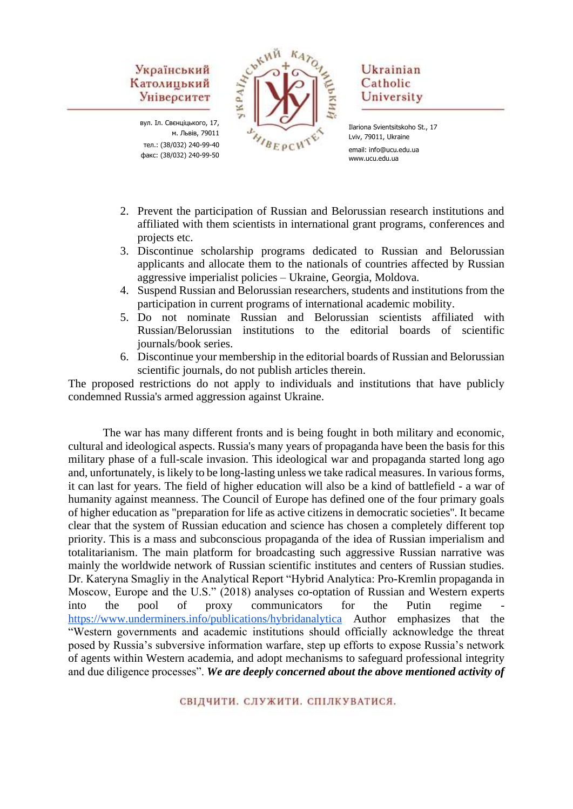вул. Іл. Свєнціцького, 17, м. Львів, 79011 тел.: (38/032) 240-99-40 факс: (38/032) 240-99-50



## Ukrainian Catholic University

Ilariona Svientsitskoho St., 17 Lviv, 79011, Ukraine email: info@ucu.edu.ua www.ucu.edu.ua

- 2. Prevent the participation of Russian and Belorussian research institutions and affiliated with them scientists in international grant programs, conferences and projects etc.
- 3. Discontinue scholarship programs dedicated to Russian and Belorussian applicants and allocate them to the nationals of countries affected by Russian aggressive imperialist policies – Ukraine, Georgia, Moldova.
- 4. Suspend Russian and Belorussian researchers, students and institutions from the participation in current programs of international academic mobility.
- 5. Do not nominate Russian and Belorussian scientists affiliated with Russian/Belorussian institutions to the editorial boards of scientific journals/book series.
- 6. Discontinue your membership in the editorial boards of Russian and Belorussian scientific journals, do not publish articles therein.

The proposed restrictions do not apply to individuals and institutions that have publicly condemned Russia's armed aggression against Ukraine.

The war has many different fronts and is being fought in both military and economic, cultural and ideological aspects. Russia's many years of propaganda have been the basis for this military phase of a full-scale invasion. This ideological war and propaganda started long ago and, unfortunately, is likely to be long-lasting unless we take radical measures. In various forms, it can last for years. The field of higher education will also be a kind of battlefield - a war of humanity against meanness. The Council of Europe has defined one of the four primary goals of higher education as "preparation for life as active citizens in democratic societies''. It became clear that the system of Russian education and science has chosen a completely different top priority. This is a mass and subconscious propaganda of the idea of Russian imperialism and totalitarianism. The main platform for broadcasting such aggressive Russian narrative was mainly the worldwide network of Russian scientific institutes and centers of Russian studies. Dr. Kateryna Smagliy in the Analytical Report "Hybrid Analytica: Pro-Kremlin propaganda in Moscow, Europe and the U.S." (2018) analyses co-optation of Russian and Western experts into the pool of proxy communicators for the Putin regime <https://www.underminers.info/publications/hybridanalytica> Author emphasizes that the "Western governments and academic institutions should officially acknowledge the threat posed by Russia's subversive information warfare, step up efforts to expose Russia's network of agents within Western academia, and adopt mechanisms to safeguard professional integrity and due diligence processes". *We are deeply concerned about the above mentioned activity of*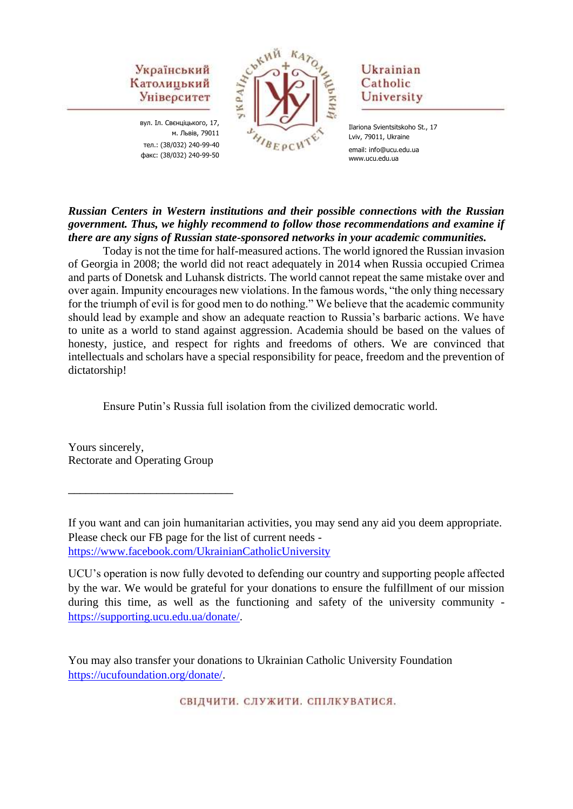вул. Іл. Свєнціцького, 17, м. Львів, 79011 тел.: (38/032) 240-99-40 факс: (38/032) 240-99-50



## Ukrainian Catholic University

### *Russian Centers in Western institutions and their possible connections with the Russian government. Thus, we highly recommend to follow those recommendations and examine if there are any signs of Russian state-sponsored networks in your academic communities.*

Today is not the time for half-measured actions. The world ignored the Russian invasion of Georgia in 2008; the world did not react adequately in 2014 when Russia occupied Crimea and parts of Donetsk and Luhansk districts. The world cannot repeat the same mistake over and over again. Impunity encourages new violations. In the famous words, "the only thing necessary for the triumph of evil is for good men to do nothing." We believe that the academic community should lead by example and show an adequate reaction to Russia's barbaric actions. We have to unite as a world to stand against aggression. Academia should be based on the values of honesty, justice, and respect for rights and freedoms of others. We are convinced that intellectuals and scholars have a special responsibility for peace, freedom and the prevention of dictatorship!

Ensure Putin's Russia full isolation from the civilized democratic world.

Yours sincerely, Rectorate and Operating Group

\_\_\_\_\_\_\_\_\_\_\_\_\_\_\_\_\_\_\_\_\_\_\_\_\_\_\_\_

If you want and can join humanitarian activities, you may send any aid you deem appropriate. Please check our FB page for the list of current needs <https://www.facebook.com/UkrainianCatholicUniversity>

UCU's operation is now fully devoted to defending our country and supporting people affected by the war. We would be grateful for your donations to ensure the fulfillment of our mission during this time, as well as the functioning and safety of the university community [https://supporting.ucu.edu.ua/donate/.](https://supporting.ucu.edu.ua/donate/)

You may also transfer your donations to Ukrainian Catholic University Foundation [https://ucufoundation.org/donate/.](https://ucufoundation.org/donate/)

Ilariona Svientsitskoho St., 17 Lviv, 79011, Ukraine email: info@ucu.edu.ua www.ucu.edu.ua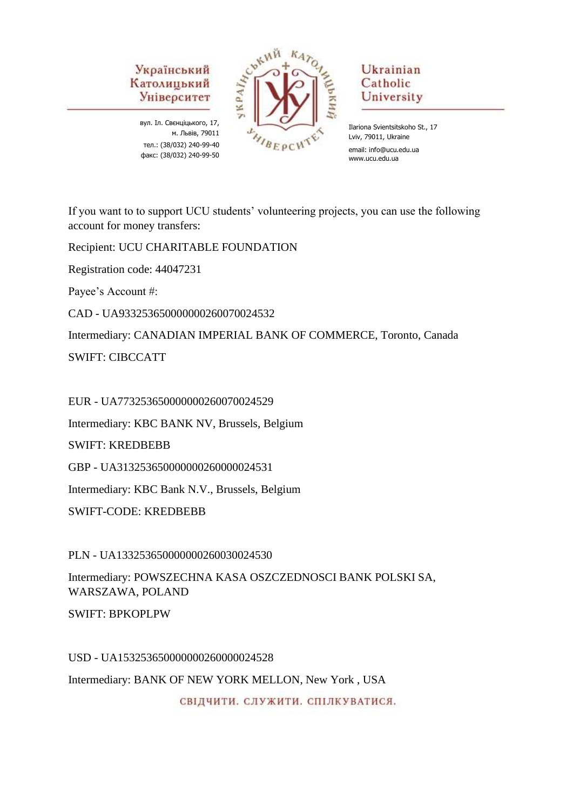вул. Іл. Свєнціцького, 17, м. Львів, 79011 тел.: (38/032) 240-99-40 факс: (38/032) 240-99-50



# Ukrainian Catholic University

Ilariona Svientsitskoho St., 17 Lviv, 79011, Ukraine email: info@ucu.edu.ua www.ucu.edu.ua

If you want to to support UCU students' volunteering projects, you can use the following account for money transfers:

Recipient: UCU CHARITABLE FOUNDATION

Registration code: 44047231

Payee's Account #:

CAD - UA933253650000000260070024532

Intermediary: CANADIAN IMPERIAL BANK OF COMMERCE, Toronto, Canada

SWIFT: CIBCCATT

EUR - UA773253650000000260070024529

Intermediary: KBC BANK NV, Brussels, Belgium

SWIFT: KREDBEBB

GBP - UA313253650000000260000024531

Intermediary: KBC Bank N.V., Brussels, Belgium

SWIFT-CODE: KREDBEBB

PLN - UA133253650000000260030024530

Intermediary: POWSZECHNA KASA OSZCZEDNOSCI BANK POLSKI SA, WARSZAWA, POLAND

SWIFT: BPKOPLPW

USD - UA153253650000000260000024528

Intermediary: BANK OF NEW YORK MELLON, New York , USA